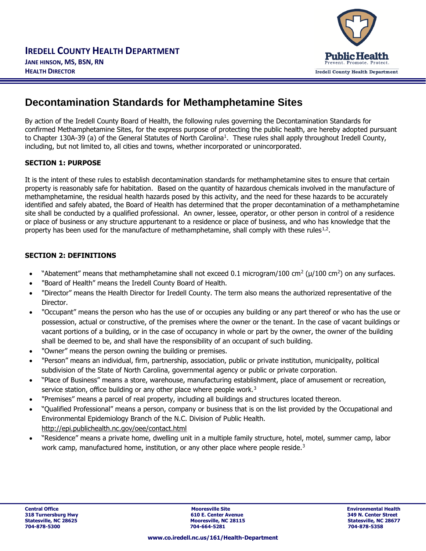# **Decontamination Standards for Methamphetamine Sites**

By action of the Iredell County Board of Health, the following rules governing the Decontamination Standards for confirmed Methamphetamine Sites, for the express purpose of protecting the public health, are hereby adopted pursuant to Chapter 130A-39 (a) of the General Statutes of North Carolina<sup>1</sup>. These rules shall apply throughout Iredell County, including, but not limited to, all cities and towns, whether incorporated or unincorporated.

# **SECTION 1: PURPOSE**

It is the intent of these rules to establish decontamination standards for methamphetamine sites to ensure that certain property is reasonably safe for habitation. Based on the quantity of hazardous chemicals involved in the manufacture of methamphetamine, the residual health hazards posed by this activity, and the need for these hazards to be accurately identified and safely abated, the Board of Health has determined that the proper decontamination of a methamphetamine site shall be conducted by a qualified professional. An owner, lessee, operator, or other person in control of a residence or place of business or any structure appurtenant to a residence or place of business, and who has knowledge that the property has been used for the manufacture of methamphetamine, shall comply with these rules<sup>1,2</sup>.

## **SECTION 2: DEFINITIONS**

- "Abatement" means that methamphetamine shall not exceed 0.1 microgram/100 cm<sup>2</sup> ( $\mu$ /100 cm<sup>2</sup>) on any surfaces.
- "Board of Health" means the Iredell County Board of Health.
- "Director" means the Health Director for Iredell County. The term also means the authorized representative of the Director.
- "Occupant" means the person who has the use of or occupies any building or any part thereof or who has the use or possession, actual or constructive, of the premises where the owner or the tenant. In the case of vacant buildings or vacant portions of a building, or in the case of occupancy in whole or part by the owner, the owner of the building shall be deemed to be, and shall have the responsibility of an occupant of such building.
- "Owner" means the person owning the building or premises.
- "Person" means an individual, firm, partnership, association, public or private institution, municipality, political subdivision of the State of North Carolina, governmental agency or public or private corporation.
- "Place of Business" means a store, warehouse, manufacturing establishment, place of amusement or recreation, service station, office building or any other place where people work.<sup>3</sup>
- "Premises" means a parcel of real property, including all buildings and structures located thereon.
- "Qualified Professional" means a person, company or business that is on the list provided by the Occupational and Environmental Epidemiology Branch of the N.C. Division of Public Health. <http://epi.publichealth.nc.gov/oee/contact.html>
- "Residence" means a private home, dwelling unit in a multiple family structure, hotel, motel, summer camp, labor work camp, manufactured home, institution, or any other place where people reside.<sup>3</sup>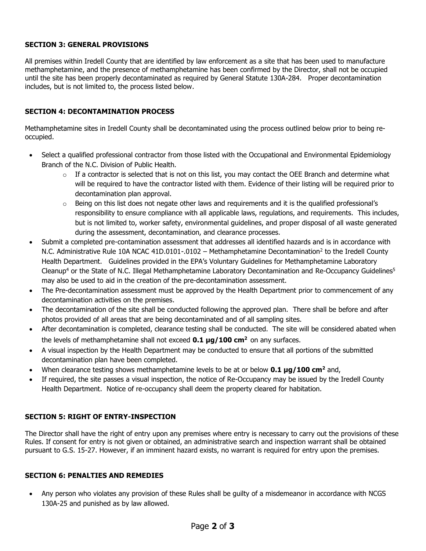# **SECTION 3: GENERAL PROVISIONS**

All premises within Iredell County that are identified by law enforcement as a site that has been used to manufacture methamphetamine, and the presence of methamphetamine has been confirmed by the Director, shall not be occupied until the site has been properly decontaminated as required by General Statute 130A-284. Proper decontamination includes, but is not limited to, the process listed below.

## **SECTION 4: DECONTAMINATION PROCESS**

Methamphetamine sites in Iredell County shall be decontaminated using the process outlined below prior to being reoccupied.

- Select a qualified professional contractor from those listed with the Occupational and Environmental Epidemiology Branch of the N.C. Division of Public Health.
	- $\circ$  If a contractor is selected that is not on this list, you may contact the OEE Branch and determine what will be required to have the contractor listed with them. Evidence of their listing will be required prior to decontamination plan approval.
	- $\circ$  Being on this list does not negate other laws and requirements and it is the qualified professional's responsibility to ensure compliance with all applicable laws, regulations, and requirements. This includes, but is not limited to, worker safety, environmental guidelines, and proper disposal of all waste generated during the assessment, decontamination, and clearance processes.
- Submit a completed pre-contamination assessment that addresses all identified hazards and is in accordance with N.C. Administrative Rule 10A NCAC 41D.0101-.0102 - Methamphetamine Decontamination<sup>2</sup> to the Iredell County Health Department. Guidelines provided in the EPA's Voluntary Guidelines for Methamphetamine Laboratory Cleanup<sup>4</sup> or the State of N.C. Illegal Methamphetamine Laboratory Decontamination and Re-Occupancy Guidelines<sup>5</sup> may also be used to aid in the creation of the pre-decontamination assessment.
- The Pre-decontamination assessment must be approved by the Health Department prior to commencement of any decontamination activities on the premises.
- The decontamination of the site shall be conducted following the approved plan. There shall be before and after photos provided of all areas that are being decontaminated and of all sampling sites.
- After decontamination is completed, clearance testing shall be conducted. The site will be considered abated when the levels of methamphetamine shall not exceed **0.1 μg/100 cm<sup>2</sup>** on any surfaces.
- A visual inspection by the Health Department may be conducted to ensure that all portions of the submitted decontamination plan have been completed.
- When clearance testing shows methamphetamine levels to be at or below **0.1 μg/100 cm<sup>2</sup>** and,
- If required, the site passes a visual inspection, the notice of Re-Occupancy may be issued by the Iredell County Health Department. Notice of re-occupancy shall deem the property cleared for habitation.

# **SECTION 5: RIGHT OF ENTRY-INSPECTION**

The Director shall have the right of entry upon any premises where entry is necessary to carry out the provisions of these Rules. If consent for entry is not given or obtained, an administrative search and inspection warrant shall be obtained pursuant to G.S. 15-27. However, if an imminent hazard exists, no warrant is required for entry upon the premises.

#### **SECTION 6: PENALTIES AND REMEDIES**

• Any person who violates any provision of these Rules shall be guilty of a misdemeanor in accordance with NCGS 130A-25 and punished as by law allowed.